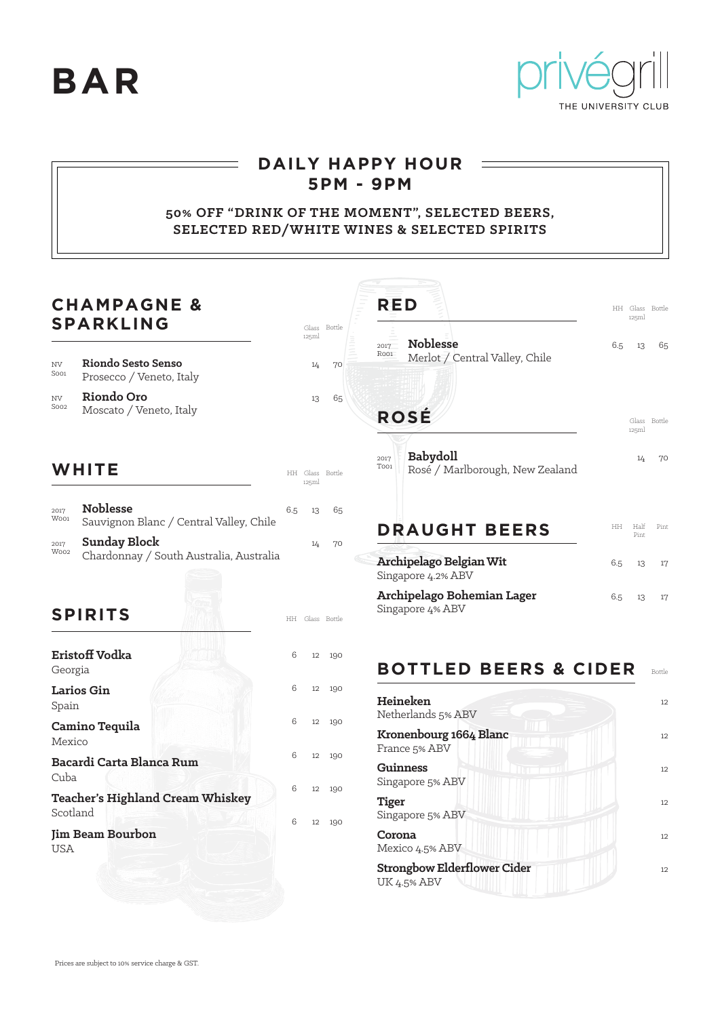**BAR**



 $\equiv$ 

## **DAILY HAPPY HOUR 5PM - 9PM**

### **50% OFF "DRINK OF THE MOMENT", SELECTED BEERS, SELECTED RED/WHITE WINES & SELECTED SPIRITS**

| <b>CHAMPAGNE &amp;</b><br><b>SPARKLING</b>          |                                                                |         | <b>RED</b><br>Glass Bottle |                 |                                                                    |     | HH Glass Bottle<br>125ml |              |
|-----------------------------------------------------|----------------------------------------------------------------|---------|----------------------------|-----------------|--------------------------------------------------------------------|-----|--------------------------|--------------|
| NV<br>Soo1                                          | Riondo Sesto Senso<br>Prosecco / Veneto, Italy                 |         | 125ml<br>14                | 70              | <b>Noblesse</b><br>2017<br>Roo1<br>Merlot / Central Valley, Chile  | 6.5 | 13                       | 65           |
| NV<br>Soo <sub>2</sub>                              | Riondo Oro<br>Moscato / Veneto, Italy                          |         | 13                         | 65              | <b>ROSÉ</b>                                                        |     | 125ml                    | Glass Bottle |
|                                                     | WHITE                                                          |         | 125ml                      | HH Glass Bottle | <b>Babydoll</b><br>2017<br>Too1<br>Rosé / Marlborough, New Zealand |     | 14                       | 70           |
| 2017<br>Woo1                                        | <b>Noblesse</b><br>Sauvignon Blanc / Central Valley, Chile     | 6.5     | 13                         | 65              | <b>DRAUGHT BEERS</b>                                               |     | HH Half<br>Pint          | Pin          |
| 2017<br>Woo2                                        | <b>Sunday Block</b><br>Chardonnay / South Australia, Australia |         | 14                         | 70              | Archipelago Belgian Wit<br>Singapore 4.2% ABV                      | 6.5 | 13                       | 17           |
| <b>SPIRITS</b>                                      |                                                                |         |                            | HH Glass Bottle | Archipelago Bohemian Lager<br>Singapore 4% ABV                     | 6.5 | 13                       | 17           |
| Georgia                                             | Eristoff Vodka                                                 | 6       | 12                         | 190             | <b>BOTTLED BEERS &amp; CIDER</b>                                   |     |                          | Bottle       |
| Larios Gin<br>Spain<br>Camino Tequila<br>Mexico     |                                                                | 6       | 12                         | 190             | Heineken<br>Netherlands 5% ABV                                     |     |                          | 12           |
|                                                     |                                                                | 6<br>12 |                            | 190             | Kronenbourg 1664 Blanc<br>France 5% ABV                            |     |                          | 12           |
| Cuba                                                | Bacardi Carta Blanca Rum                                       | 6       | 12                         | 190             | <b>Guinness</b><br>Singapore 5% ABV                                |     |                          | 12           |
| <b>Teacher's Highland Cream Whiskey</b><br>Scotland |                                                                | 6       | 12                         | 190             | <b>Tiger</b><br>Singapore 5% ABV                                   |     |                          | 12           |
| <b>Jim Beam Bourbon</b><br><b>USA</b>               |                                                                | 6       |                            | 12 190          | Corona<br>Mexico 4.5% ABV                                          |     |                          | 12           |
|                                                     |                                                                |         |                            |                 | <b>Strongbow Elderflower Cider</b><br><b>UK 4.5% ABV</b>           |     |                          | 12           |